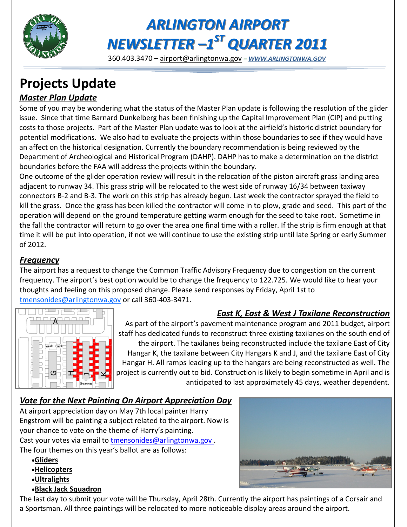

# *ARLINGTON AIRPORT NEWSLETTER –1 ST QUARTER 2011*

360.403.3470 – [airport@arlingtonwa.gov](mailto:airport@arlingtonwa.gov) *– [WWW.ARLINGTONWA.GOV](http://www.arlingtonwa.gov)*

# **Projects Update**

## *Master Plan Update*

Some of you may be wondering what the status of the Master Plan update is following the resolution of the glider issue. Since that time Barnard Dunkelberg has been finishing up the Capital Improvement Plan (CIP) and putting costs to those projects. Part of the Master Plan update was to look at the airfield's historic district boundary for potential modifications. We also had to evaluate the projects within those boundaries to see if they would have an affect on the historical designation. Currently the boundary recommendation is being reviewed by the Department of Archeological and Historical Program (DAHP). DAHP has to make a determination on the district boundaries before the FAA will address the projects within the boundary.

One outcome of the glider operation review will result in the relocation of the piston aircraft grass landing area adjacent to runway 34. This grass strip will be relocated to the west side of runway 16/34 between taxiway connectors B-2 and B-3. The work on this strip has already begun. Last week the contractor sprayed the field to kill the grass. Once the grass has been killed the contractor will come in to plow, grade and seed. This part of the operation will depend on the ground temperature getting warm enough for the seed to take root. Sometime in the fall the contractor will return to go over the area one final time with a roller. If the strip is firm enough at that time it will be put into operation, if not we will continue to use the existing strip until late Spring or early Summer of 2012.

#### *Frequency*

The airport has a request to change the Common Traffic Advisory Frequency due to congestion on the current frequency. The airport's best option would be to change the frequency to 122.725. We would like to hear your thoughts and feeling on this proposed change. Please send responses by Friday, April 1st to [tmensonides@arlingtonwa.gov](mailto:tmensonides@arlington.wa.gov) or call 360-403-3471.



### *East K, East & West J Taxilane Reconstruction*

As part of the airport's pavement maintenance program and 2011 budget, airport staff has dedicated funds to reconstruct three existing taxilanes on the south end of the airport. The taxilanes being reconstructed include the taxilane East of City Hangar K, the taxilane between City Hangars K and J, and the taxilane East of City Hangar H. All ramps leading up to the hangars are being reconstructed as well. The project is currently out to bid. Construction is likely to begin sometime in April and is anticipated to last approximately 45 days, weather dependent.

#### *Vote for the Next Painting On Airport Appreciation Day*

At airport appreciation day on May 7th local painter Harry Engstrom will be painting a subject related to the airport. Now is your chance to vote on the theme of Harry's painting. Cast your votes via email to tmensonides@arlingtonwa.gov. The four themes on this year's ballot are as follows:

- **Gliders**
- **Helicopters**
- **Ultralights**
- **Black Jack Squadron**

The last day to submit your vote will be Thursday, April 28th. Currently the airport has paintings of a Corsair and a Sportsman. All three paintings will be relocated to more noticeable display areas around the airport.